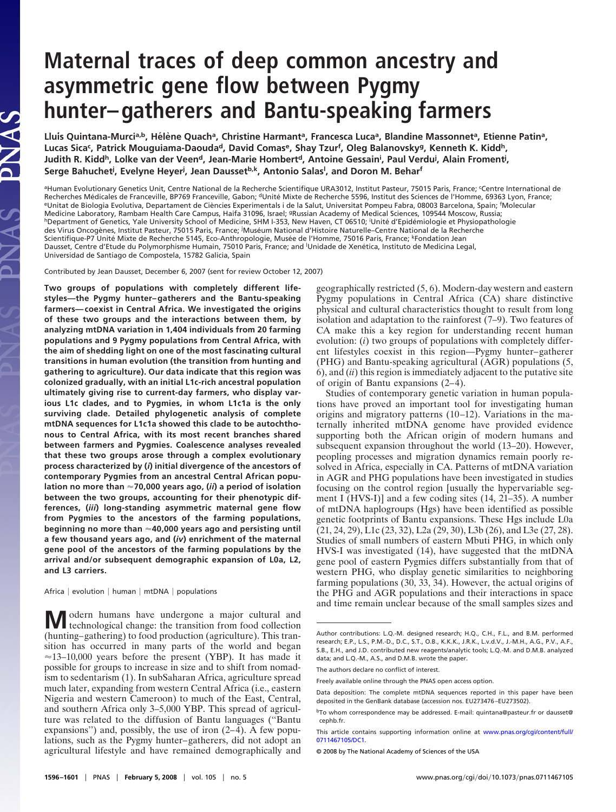# **Maternal traces of deep common ancestry and asymmetric gene flow between Pygmy hunter– gatherers and Bantu-speaking farmers**

Lluis Quintana-Murci<sup>a,b</sup>, Hélène Quach<sup>a</sup>, Christine Harmant<sup>a</sup>, Francesca Luca<sup>a</sup>, Blandine Massonnet<sup>a</sup>, Etienne Patin<sup>a</sup>, Lucas Sica<sup>c</sup>, Patrick Mouguiama-Daouda<sup>d</sup>, David Comas<sup>e</sup>, Shay Tzur<sup>f</sup>, Oleg Balanovsky<sup>g</sup>, Kenneth K. Kidd<sup>h</sup>, Judith R. Kidd<sup>h</sup>, Lolke van der Veen<sup>d</sup>, Jean-Marie Hombert<sup>d</sup>, Antoine Gessain<sup>i</sup>, Paul Verdu<sup>j</sup>, Alain Froment<sup>j</sup>, **Serge Bahuchetj , Evelyne Heyerj , Jean Daussetb,k, Antonio Salasl , and Doron M. Beharf**

<sup>a</sup>Human Evolutionary Genetics Unit, Centre National de la Recherche Scientifique URA3012, Institut Pasteur, 75015 Paris, France; <sup>c</sup>Centre International de Recherches Médicales de Franceville, BP769 Franceville, Gabon; <sup>d</sup>Unité Mixte de Recherche 5596, Institut des Sciences de l'Homme, 69363 Lyon, France; <sup>e</sup>Unitat de Biologia Evolutiva, Departament de Ciències Experimentals i de la Salut, Universitat Pompeu Fabra, 08003 Barcelona, Spain; <sup>f</sup>Molecular Medicine Laboratory, Rambam Health Care Campus, Haifa 31096, Israel; gRussian Academy of Medical Sciences, 109544 Moscow, Russia; hDepartment of Genetics, Yale University School of Medicine, SHM I-353, New Haven, CT 06510; Unité d'Epidémiologie et Physiopathologie des Virus Oncogènes, Institut Pasteur, 75015 Paris, France; <sup>j</sup>Muséum National d'Histoire Naturelle–Centre National de la Recherche Scientifique-P7 Unité Mixte de Recherche 5145, Eco-Anthropologie, Musée de l'Homme, 75016 Paris, France; <sup>k</sup>Fondation Jean Dausset, Centre d'Etude du Polymorphisme Humain, 75010 Paris, France; and <sup>I</sup>Unidade de Xenética, Instituto de Medicina Legal, Universidad de Santiago de Compostela, 15782 Galicia, Spain

Contributed by Jean Dausset, December 6, 2007 (sent for review October 12, 2007)

**NAS** 

**Two groups of populations with completely different lifestyles—the Pygmy hunter–gatherers and the Bantu-speaking farmers—coexist in Central Africa. We investigated the origins of these two groups and the interactions between them, by analyzing mtDNA variation in 1,404 individuals from 20 farming populations and 9 Pygmy populations from Central Africa, with the aim of shedding light on one of the most fascinating cultural transitions in human evolution (the transition from hunting and gathering to agriculture). Our data indicate that this region was colonized gradually, with an initial L1c-rich ancestral population ultimately giving rise to current-day farmers, who display various L1c clades, and to Pygmies, in whom L1c1a is the only surviving clade. Detailed phylogenetic analysis of complete mtDNA sequences for L1c1a showed this clade to be autochthonous to Central Africa, with its most recent branches shared between farmers and Pygmies. Coalescence analyses revealed that these two groups arose through a complex evolutionary process characterized by (***i***) initial divergence of the ancestors of contemporary Pygmies from an ancestral Central African population no more than 70,000 years ago, (***ii***) a period of isolation between the two groups, accounting for their phenotypic differences, (***iii***) long-standing asymmetric maternal gene flow from Pygmies to the ancestors of the farming populations, beginning no more than 40,000 years ago and persisting until a few thousand years ago, and (***iv***) enrichment of the maternal gene pool of the ancestors of the farming populations by the arrival and/or subsequent demographic expansion of L0a, L2, and L3 carriers.**

Africa  $|$  evolution  $|$  human  $|$  mtDNA  $|$  populations

**M**odern humans have undergone a major cultural and technological change: the transition from food collection (hunting–gathering) to food production (agriculture). This transition has occurred in many parts of the world and began  $\approx$ 13–10,000 years before the present (YBP). It has made it possible for groups to increase in size and to shift from nomadism to sedentarism (1). In subSaharan Africa, agriculture spread much later, expanding from western Central Africa (i.e., eastern Nigeria and western Cameroon) to much of the East, Central, and southern Africa only 3–5,000 YBP. This spread of agriculture was related to the diffusion of Bantu languages (''Bantu expansions'') and, possibly, the use of iron (2–4). A few populations, such as the Pygmy hunter–gatherers, did not adopt an agricultural lifestyle and have remained demographically and geographically restricted (5, 6). Modern-day western and eastern Pygmy populations in Central Africa (CA) share distinctive physical and cultural characteristics thought to result from long isolation and adaptation to the rainforest (7–9). Two features of CA make this a key region for understanding recent human evolution: (*i*) two groups of populations with completely different lifestyles coexist in this region—Pygmy hunter–gatherer (PHG) and Bantu-speaking agricultural (AGR) populations (5, 6), and (*ii*) this region is immediately adjacent to the putative site of origin of Bantu expansions (2–4).

Studies of contemporary genetic variation in human populations have proved an important tool for investigating human origins and migratory patterns (10–12). Variations in the maternally inherited mtDNA genome have provided evidence supporting both the African origin of modern humans and subsequent expansion throughout the world (13–20). However, peopling processes and migration dynamics remain poorly resolved in Africa, especially in CA. Patterns of mtDNA variation in AGR and PHG populations have been investigated in studies focusing on the control region [usually the hypervariable segment I (HVS-I)] and a few coding sites (14, 21–35). A number of mtDNA haplogroups (Hgs) have been identified as possible genetic footprints of Bantu expansions. These Hgs include L0a (21, 24, 29), L1c (23, 32), L2a (29, 30), L3b (26), and L3e (27, 28). Studies of small numbers of eastern Mbuti PHG, in which only HVS-I was investigated (14), have suggested that the mtDNA gene pool of eastern Pygmies differs substantially from that of western PHG, who display genetic similarities to neighboring farming populations (30, 33, 34). However, the actual origins of the PHG and AGR populations and their interactions in space and time remain unclear because of the small samples sizes and

Author contributions: L.Q.-M. designed research; H.Q., C.H., F.L., and B.M. performed research; E.P., L.S., P.M.-D., D.C., S.T., O.B., K.K.K., J.R.K., L.v.d.V., J.-M.H., A.G., P.V., A.F., S.B., E.H., and J.D. contributed new reagents/analytic tools; L.Q.-M. and D.M.B. analyzed data; and L.Q.-M., A.S., and D.M.B. wrote the paper.

The authors declare no conflict of interest.

Freely available online through the PNAS open access option.

Data deposition: The complete mtDNA sequences reported in this paper have been deposited in the GenBank database (accession nos. EU273476 –EU273502).

bTo whom correspondence may be addressed. E-mail: quintana@pasteur.fr or dausset@ cephb.fr.

This article contains supporting information online at [www.pnas.org/cgi/content/full/](http://www.pnas.org/cgi/content/full/0711467105/DC1) [0711467105/DC1.](http://www.pnas.org/cgi/content/full/0711467105/DC1)

<sup>© 2008</sup> by The National Academy of Sciences of the USA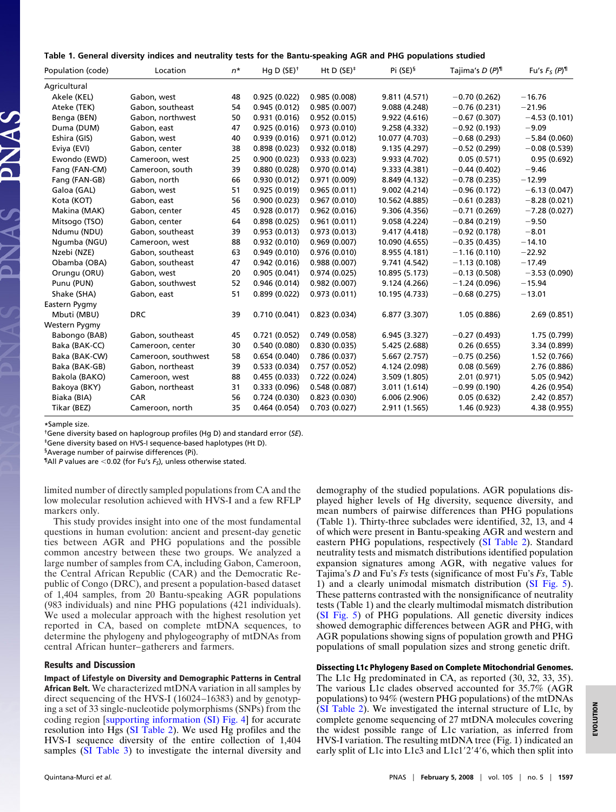|  |  |  |  |  | Table 1. General diversity indices and neutrality tests for the Bantu-speaking AGR and PHG populations studied |
|--|--|--|--|--|----------------------------------------------------------------------------------------------------------------|
|--|--|--|--|--|----------------------------------------------------------------------------------------------------------------|

| Population (code) | Location            | $n^*$ | Hq D $(SE)^+$ | Ht D $(SE)^*$ | Pi (SE) <sup>§</sup> | Tajima's D (P) <sup>1</sup> | Fu's $F_S(P)^{\text{T}}$ |
|-------------------|---------------------|-------|---------------|---------------|----------------------|-----------------------------|--------------------------|
| Agricultural      |                     |       |               |               |                      |                             |                          |
| Akele (KEL)       | Gabon, west         | 48    | 0.925(0.022)  | 0.985(0.008)  | 9.811 (4.571)        | $-0.70(0.262)$              | $-16.76$                 |
| Ateke (TEK)       | Gabon, southeast    | 54    | 0.945(0.012)  | 0.985(0.007)  | 9.088 (4.248)        | $-0.76(0.231)$              | $-21.96$                 |
| Benga (BEN)       | Gabon, northwest    | 50    | 0.931(0.016)  | 0.952(0.015)  | 9.922 (4.616)        | $-0.67(0.307)$              | $-4.53(0.101)$           |
| Duma (DUM)        | Gabon, east         | 47    | 0.925(0.016)  | 0.973(0.010)  | 9.258 (4.332)        | $-0.92(0.193)$              | $-9.09$                  |
| Eshira (GIS)      | Gabon, west         | 40    | 0.939(0.016)  | 0.971(0.012)  | 10.077 (4.703)       | $-0.68(0.293)$              | $-5.84(0.060)$           |
| Eviya (EVI)       | Gabon, center       | 38    | 0.898(0.023)  | 0.932(0.018)  | 9.135 (4.297)        | $-0.52(0.299)$              | $-0.08(0.539)$           |
| Ewondo (EWD)      | Cameroon, west      | 25    | 0.900(0.023)  | 0.933(0.023)  | 9.933 (4.702)        | 0.05(0.571)                 | 0.95(0.692)              |
| Fang (FAN-CM)     | Cameroon, south     | 39    | 0.880(0.028)  | 0.970(0.014)  | 9.333 (4.381)        | $-0.44(0.402)$              | $-9.46$                  |
| Fang (FAN-GB)     | Gabon, north        | 66    | 0.930(0.012)  | 0.971(0.009)  | 8.849 (4.132)        | $-0.78(0.235)$              | $-12.99$                 |
| Galoa (GAL)       | Gabon, west         | 51    | 0.925(0.019)  | 0.965(0.011)  | 9.002 (4.214)        | $-0.96(0.172)$              | $-6.13(0.047)$           |
| Kota (KOT)        | Gabon, east         | 56    | 0.900(0.023)  | 0.967(0.010)  | 10.562 (4.885)       | $-0.61(0.283)$              | $-8.28(0.021)$           |
| Makina (MAK)      | Gabon, center       | 45    | 0.928(0.017)  | 0.962(0.016)  | 9.306 (4.356)        | $-0.71(0.269)$              | $-7.28(0.027)$           |
| Mitsogo (TSO)     | Gabon, center       | 64    | 0.898(0.025)  | 0.961(0.011)  | 9.058 (4.224)        | $-0.84(0.219)$              | $-9.50$                  |
| Ndumu (NDU)       | Gabon, southeast    | 39    | 0.953(0.013)  | 0.973(0.013)  | 9.417 (4.418)        | $-0.92(0.178)$              | $-8.01$                  |
| Ngumba (NGU)      | Cameroon, west      | 88    | 0.932(0.010)  | 0.969(0.007)  | 10.090 (4.655)       | $-0.35(0.435)$              | $-14.10$                 |
| Nzebi (NZE)       | Gabon, southeast    | 63    | 0.949(0.010)  | 0.976(0.010)  | 8.955 (4.181)        | $-1.16(0.110)$              | $-22.92$                 |
| Obamba (OBA)      | Gabon, southeast    | 47    | 0.942(0.016)  | 0.988(0.007)  | 9.741 (4.542)        | $-1.13(0.108)$              | $-17.49$                 |
| Orungu (ORU)      | Gabon, west         | 20    | 0.905(0.041)  | 0.974(0.025)  | 10.895 (5.173)       | $-0.13(0.508)$              | $-3.53(0.090)$           |
| Punu (PUN)        | Gabon, southwest    | 52    | 0.946(0.014)  | 0.982(0.007)  | 9.124 (4.266)        | $-1.24(0.096)$              | $-15.94$                 |
| Shake (SHA)       | Gabon, east         | 51    | 0.899(0.022)  | 0.973(0.011)  | 10.195 (4.733)       | $-0.68(0.275)$              | $-13.01$                 |
| Eastern Pygmy     |                     |       |               |               |                      |                             |                          |
| Mbuti (MBU)       | <b>DRC</b>          | 39    | 0.710(0.041)  | 0.823(0.034)  | 6.877 (3.307)        | 1.05 (0.886)                | 2.69(0.851)              |
| Western Pygmy     |                     |       |               |               |                      |                             |                          |
| Babongo (BAB)     | Gabon, southeast    | 45    | 0.721(0.052)  | 0.749(0.058)  | 6.945 (3.327)        | $-0.27(0.493)$              | 1.75 (0.799)             |
| Baka (BAK-CC)     | Cameroon, center    | 30    | 0.540(0.080)  | 0.830(0.035)  | 5.425 (2.688)        | 0.26(0.655)                 | 3.34 (0.899)             |
| Baka (BAK-CW)     | Cameroon, southwest | 58    | 0.654(0.040)  | 0.786(0.037)  | 5.667 (2.757)        | $-0.75(0.256)$              | 1.52(0.766)              |
| Baka (BAK-GB)     | Gabon, northeast    | 39    | 0.533(0.034)  | 0.757(0.052)  | 4.124 (2.098)        | 0.08(0.569)                 | 2.76 (0.886)             |
| Bakola (BAKO)     | Cameroon, west      | 88    | 0.455(0.033)  | 0.722(0.024)  | 3.509 (1.805)        | 2.01(0.971)                 | 5.05 (0.942)             |
| Bakoya (BKY)      | Gabon, northeast    | 31    | 0.333(0.096)  | 0.548(0.087)  | 3.011 (1.614)        | $-0.99(0.190)$              | 4.26 (0.954)             |
| Biaka (BIA)       | CAR                 | 56    | 0.724(0.030)  | 0.823(0.030)  | 6.006(2.906)         | 0.05(0.632)                 | 2.42(0.857)              |
| Tikar (BEZ)       | Cameroon, north     | 35    | 0.464(0.054)  | 0.703(0.027)  | 2.911 (1.565)        | 1.46 (0.923)                | 4.38 (0.955)             |

**\***Sample size.

†Gene diversity based on haplogroup profiles (Hg D) and standard error (*SE*).

‡Gene diversity based on HVS-I sequence-based haplotypes (Ht D).

§Average number of pairwise differences (Pi).

¶All *P* values are 0.02 (for Fu's *FS*), unless otherwise stated.

limited number of directly sampled populations from CA and the low molecular resolution achieved with HVS-I and a few RFLP markers only.

This study provides insight into one of the most fundamental questions in human evolution: ancient and present-day genetic ties between AGR and PHG populations and the possible common ancestry between these two groups. We analyzed a large number of samples from CA, including Gabon, Cameroon, the Central African Republic (CAR) and the Democratic Republic of Congo (DRC), and present a population-based dataset of 1,404 samples, from 20 Bantu-speaking AGR populations (983 individuals) and nine PHG populations (421 individuals). We used a molecular approach with the highest resolution yet reported in CA, based on complete mtDNA sequences, to determine the phylogeny and phylogeography of mtDNAs from central African hunter–gatherers and farmers.

## **Results and Discussion**

**Impact of Lifestyle on Diversity and Demographic Patterns in Central African Belt.** We characterized mtDNA variation in all samples by direct sequencing of the HVS-I (16024–16383) and by genotyping a set of 33 single-nucleotide polymorphisms (SNPs) from the coding region [\[supporting information \(SI\) Fig. 4\]](http://www.pnas.org/cgi/content/full/0711467105/DC1) for accurate resolution into Hgs [\(SI Table 2\)](http://www.pnas.org/cgi/content/full/0711467105/DC1). We used Hg profiles and the HVS-I sequence diversity of the entire collection of 1,404 samples [\(SI Table 3\)](http://www.pnas.org/cgi/content/full/0711467105/DC1) to investigate the internal diversity and demography of the studied populations. AGR populations displayed higher levels of Hg diversity, sequence diversity, and mean numbers of pairwise differences than PHG populations (Table 1). Thirty-three subclades were identified, 32, 13, and 4 of which were present in Bantu-speaking AGR and western and eastern PHG populations, respectively [\(SI Table 2\)](http://www.pnas.org/cgi/content/full/0711467105/DC1). Standard neutrality tests and mismatch distributions identified population expansion signatures among AGR, with negative values for Tajima's *D* and Fu's *Fs* tests (significance of most Fu's *Fs*, Table 1) and a clearly unimodal mismatch distribution [\(SI Fig. 5\)](http://www.pnas.org/cgi/content/full/0711467105/DC1). These patterns contrasted with the nonsignificance of neutrality tests (Table 1) and the clearly multimodal mismatch distribution [\(SI Fig. 5\)](http://www.pnas.org/cgi/content/full/0711467105/DC1) of PHG populations. All genetic diversity indices showed demographic differences between AGR and PHG, with AGR populations showing signs of population growth and PHG populations of small population sizes and strong genetic drift.

# **Dissecting L1c Phylogeny Based on Complete Mitochondrial Genomes.**

The L1c Hg predominated in CA, as reported (30, 32, 33, 35). The various L1c clades observed accounted for 35.7% (AGR populations) to 94% (western PHG populations) of the mtDNAs [\(SI Table 2\)](http://www.pnas.org/cgi/content/full/0711467105/DC1). We investigated the internal structure of L1c, by complete genome sequencing of 27 mtDNA molecules covering the widest possible range of L1c variation, as inferred from HVS-I variation. The resulting mtDNA tree (Fig. 1) indicated an early split of L1c into L1c3 and L1c1'2'4'6, which then split into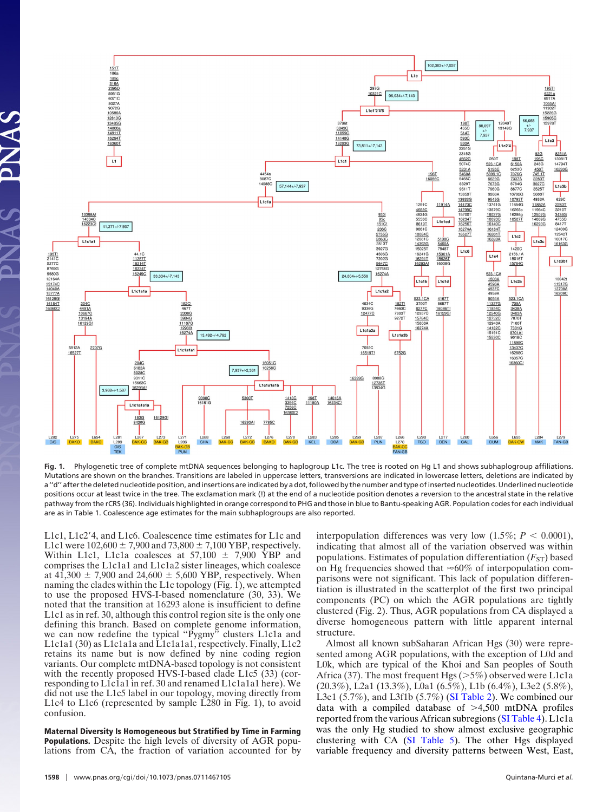

**Fig. 1.** Phylogenetic tree of complete mtDNA sequences belonging to haplogroup L1c. The tree is rooted on Hg L1 and shows subhaplogroup affiliations. Mutations are shown on the branches. Transitions are labeled in uppercase letters, transversions are indicated in lowercase letters, deletions are indicated by a "d" after the deleted nucleotide position, and insertions are indicated by a dot, followed by the number and type of inserted nucleotides. Underlined nucleotide positions occur at least twice in the tree. The exclamation mark (!) at the end of a nucleotide position denotes a reversion to the ancestral state in the relative pathway from the rCRS (36). Individuals highlighted in orange correspond to PHG and those in blue to Bantu-speaking AGR. Population codes for each individual are as in Table 1. Coalescence age estimates for the main subhaplogroups are also reported.

L1c1, L1c2-4, and L1c6. Coalescence time estimates for L1c and L1c1 were  $102,600 \pm 7,900$  and  $73,800 \pm 7,100$  YBP, respectively. Within L1c1, L1c1a coalesces at 57,100  $\pm$  7,900 YBP and comprises the L1c1a1 and L1c1a2 sister lineages, which coalesce at 41,300  $\pm$  7,900 and 24,600  $\pm$  5,600 YBP, respectively. When naming the clades within the L1c topology (Fig.  $\bar{1}$ ), we attempted to use the proposed HVS-I-based nomenclature (30, 33). We noted that the transition at 16293 alone is insufficient to define L1c1 as in ref. 30, although this control region site is the only one defining this branch. Based on complete genome information, we can now redefine the typical "Pygmy" clusters L1c1a and L1c1a1 (30) as L1c1a1a and L1c1a1a1, respectively. Finally, L1c2 retains its name but is now defined by nine coding region variants. Our complete mtDNA-based topology is not consistent with the recently proposed HVS-I-based clade L1c5 (33) (corresponding to L1c1a1 in ref. 30 and renamed L1c1a1a1 here). We did not use the L1c5 label in our topology, moving directly from L1c4 to L1c6 (represented by sample L280 in Fig. 1), to avoid confusion.

**Maternal Diversity Is Homogeneous but Stratified by Time in Farming Populations.** Despite the high levels of diversity of AGR populations from CA, the fraction of variation accounted for by interpopulation differences was very low  $(1.5\%; P < 0.0001)$ , indicating that almost all of the variation observed was within populations. Estimates of population differentiation  $(F_{ST})$  based on Hg frequencies showed that  $\approx 60\%$  of interpopulation comparisons were not significant. This lack of population differentiation is illustrated in the scatterplot of the first two principal components (PC) on which the AGR populations are tightly clustered (Fig. 2). Thus, AGR populations from CA displayed a diverse homogeneous pattern with little apparent internal structure.

Almost all known subSaharan African Hgs (30) were represented among AGR populations, with the exception of L0d and L0k, which are typical of the Khoi and San peoples of South Africa (37). The most frequent Hgs ( $>5\%$ ) observed were L1c1a (20.3%), L2a1 (13.3%), L0a1 (6.5%), L1b (6.4%), L3e2 (5.8%), L3e1 (5.7%), and L3f1b (5.7%) [\(SI Table 2\)](http://www.pnas.org/cgi/content/full/0711467105/DC1). We combined our data with a compiled database of  $>4,500$  mtDNA profiles reported from the various African subregions [\(SI Table 4\)](http://www.pnas.org/cgi/content/full/0711467105/DC1). L1c1a was the only Hg studied to show almost exclusive geographic clustering with CA [\(SI Table 5\)](http://www.pnas.org/cgi/content/full/0711467105/DC1). The other Hgs displayed variable frequency and diversity patterns between West, East,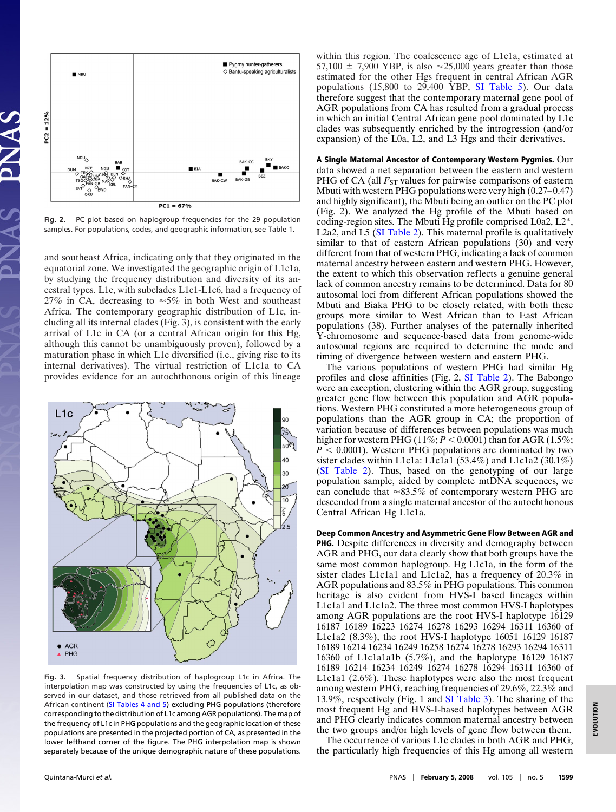

**Fig. 2.** PC plot based on haplogroup frequencies for the 29 population samples. For populations, codes, and geographic information, see Table 1.

and southeast Africa, indicating only that they originated in the equatorial zone. We investigated the geographic origin of L1c1a, by studying the frequency distribution and diversity of its ancestral types. L1c, with subclades L1c1-L1c6, had a frequency of 27% in CA, decreasing to  $\approx$  5% in both West and southeast Africa. The contemporary geographic distribution of L1c, including all its internal clades (Fig. 3), is consistent with the early arrival of L1c in CA (or a central African origin for this Hg, although this cannot be unambiguously proven), followed by a maturation phase in which L1c diversified (i.e., giving rise to its internal derivatives). The virtual restriction of L1c1a to CA provides evidence for an autochthonous origin of this lineage



**Fig. 3.** Spatial frequency distribution of haplogroup L1c in Africa. The interpolation map was constructed by using the frequencies of L1c, as observed in our dataset, and those retrieved from all published data on the African continent [\(SI Tables 4 and 5\)](http://www.pnas.org/cgi/content/full/0711467105/DC1) excluding PHG populations (therefore corresponding to the distribution of L1c among AGR populations). The map of the frequency of L1c in PHG populations and the geographic location of these populations are presented in the projected portion of CA, as presented in the lower lefthand corner of the figure. The PHG interpolation map is shown separately because of the unique demographic nature of these populations.

within this region. The coalescence age of L1c1a, estimated at 57,100  $\pm$  7,900 YBP, is also  $\approx$  25,000 years greater than those estimated for the other Hgs frequent in central African AGR populations  $(15,800 \text{ to } 29,400 \text{ YBP}, \text{ SI Table 5}).$  Our data therefore suggest that the contemporary maternal gene pool of AGR populations from CA has resulted from a gradual process in which an initial Central African gene pool dominated by L1c clades was subsequently enriched by the introgression (and/or expansion) of the L0a, L2, and L3 Hgs and their derivatives.

**A Single Maternal Ancestor of Contemporary Western Pygmies.** Our data showed a net separation between the eastern and western PHG of CA (all  $F_{ST}$  values for pairwise comparisons of eastern Mbuti with western PHG populations were very high (0.27–0.47) and highly significant), the Mbuti being an outlier on the PC plot (Fig. 2). We analyzed the Hg profile of the Mbuti based on coding-region sites. The Mbuti Hg profile comprised L0a2, L2\*, L2a2, and L5 [\(SI Table 2\)](http://www.pnas.org/cgi/content/full/0711467105/DC1). This maternal profile is qualitatively similar to that of eastern African populations (30) and very different from that of western PHG, indicating a lack of common maternal ancestry between eastern and western PHG. However, the extent to which this observation reflects a genuine general lack of common ancestry remains to be determined. Data for 80 autosomal loci from different African populations showed the Mbuti and Biaka PHG to be closely related, with both these groups more similar to West African than to East African populations (38). Further analyses of the paternally inherited Y-chromosome and sequence-based data from genome-wide autosomal regions are required to determine the mode and timing of divergence between western and eastern PHG.

The various populations of western PHG had similar Hg profiles and close affinities (Fig. 2, [SI Table 2\)](http://www.pnas.org/cgi/content/full/0711467105/DC1). The Babongo were an exception, clustering within the AGR group, suggesting greater gene flow between this population and AGR populations. Western PHG constituted a more heterogeneous group of populations than the AGR group in CA; the proportion of variation because of differences between populations was much higher for western PHG ( $11\%$ ;  $P < 0.0001$ ) than for AGR ( $1.5\%$ ;  $P < 0.0001$ ). Western PHG populations are dominated by two sister clades within L1c1a: L1c1a1 (53.4%) and L1c1a2 (30.1%) [\(SI Table 2\)](http://www.pnas.org/cgi/content/full/0711467105/DC1). Thus, based on the genotyping of our large population sample, aided by complete mtDNA sequences, we can conclude that  $\approx 83.5\%$  of contemporary western PHG are descended from a single maternal ancestor of the autochthonous Central African Hg L1c1a.

**Deep Common Ancestry and Asymmetric Gene Flow Between AGR and PHG.** Despite differences in diversity and demography between AGR and PHG, our data clearly show that both groups have the same most common haplogroup. Hg L1c1a, in the form of the sister clades L1c1a1 and L1c1a2, has a frequency of 20.3% in AGR populations and 83.5% in PHG populations. This common heritage is also evident from HVS-I based lineages within L1c1a1 and L1c1a2. The three most common HVS-I haplotypes among AGR populations are the root HVS-I haplotype 16129 16187 16189 16223 16274 16278 16293 16294 16311 16360 of L1c1a2 (8.3%), the root HVS-I haplotype 16051 16129 16187 16189 16214 16234 16249 16258 16274 16278 16293 16294 16311 16360 of L1c1a1a1b (5.7%), and the haplotype 16129 16187 16189 16214 16234 16249 16274 16278 16294 16311 16360 of L1c1a1 (2.6%). These haplotypes were also the most frequent among western PHG, reaching frequencies of 29.6%, 22.3% and 13.9%, respectively (Fig. 1 and [SI Table 3\)](http://www.pnas.org/cgi/content/full/0711467105/DC1). The sharing of the most frequent Hg and HVS-I-based haplotypes between AGR and PHG clearly indicates common maternal ancestry between the two groups and/or high levels of gene flow between them.

The occurrence of various L1c clades in both AGR and PHG, the particularly high frequencies of this Hg among all western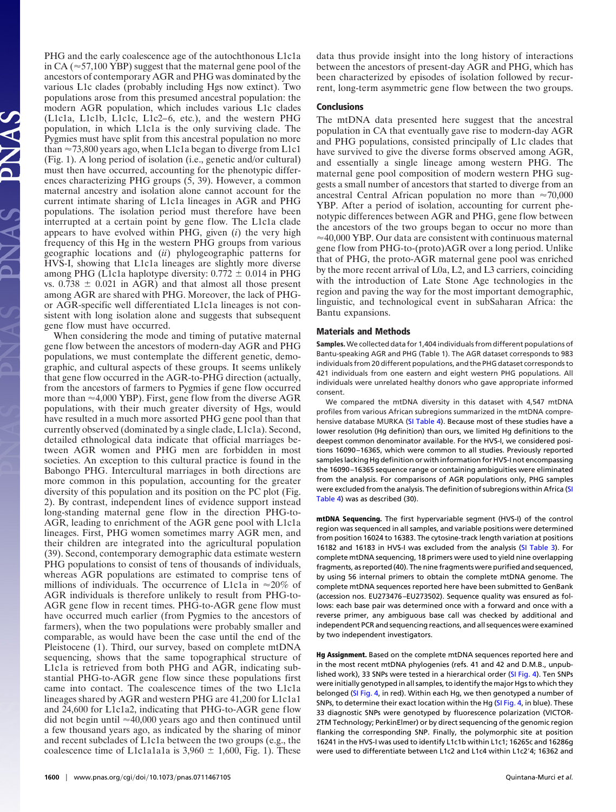PHG and the early coalescence age of the autochthonous L1c1a in CA ( $\approx$  57,100 YBP) suggest that the maternal gene pool of the ancestors of contemporary AGR and PHG was dominated by the various L1c clades (probably including Hgs now extinct). Two populations arose from this presumed ancestral population: the modern AGR population, which includes various L1c clades (L1c1a, L1c1b, L1c1c, L1c2–6, etc.), and the western PHG population, in which L1c1a is the only surviving clade. The Pygmies must have split from this ancestral population no more than  $\approx$  73,800 years ago, when L1c1a began to diverge from L1c1 (Fig. 1). A long period of isolation (i.e., genetic and/or cultural) must then have occurred, accounting for the phenotypic differences characterizing PHG groups (5, 39). However, a common maternal ancestry and isolation alone cannot account for the current intimate sharing of L1c1a lineages in AGR and PHG populations. The isolation period must therefore have been interrupted at a certain point by gene flow. The L1c1a clade appears to have evolved within PHG, given (*i*) the very high frequency of this Hg in the western PHG groups from various geographic locations and (*ii*) phylogeographic patterns for HVS-I, showing that L1c1a lineages are slightly more diverse among PHG (L1c1a haplotype diversity:  $0.772 \pm 0.014$  in PHG vs.  $0.738 \pm 0.021$  in AGR) and that almost all those present among AGR are shared with PHG. Moreover, the lack of PHGor AGR-specific well differentiated L1c1a lineages is not consistent with long isolation alone and suggests that subsequent gene flow must have occurred.

When considering the mode and timing of putative maternal gene flow between the ancestors of modern-day AGR and PHG populations, we must contemplate the different genetic, demographic, and cultural aspects of these groups. It seems unlikely that gene flow occurred in the AGR-to-PHG direction (actually, from the ancestors of farmers to Pygmies if gene flow occurred more than  $\approx$  4,000 YBP). First, gene flow from the diverse AGR populations, with their much greater diversity of Hgs, would have resulted in a much more assorted PHG gene pool than that currently observed (dominated by a single clade, L1c1a). Second, detailed ethnological data indicate that official marriages between AGR women and PHG men are forbidden in most societies. An exception to this cultural practice is found in the Babongo PHG. Intercultural marriages in both directions are more common in this population, accounting for the greater diversity of this population and its position on the PC plot (Fig. 2). By contrast, independent lines of evidence support instead long-standing maternal gene flow in the direction PHG-to-AGR, leading to enrichment of the AGR gene pool with L1c1a lineages. First, PHG women sometimes marry AGR men, and their children are integrated into the agricultural population (39). Second, contemporary demographic data estimate western PHG populations to consist of tens of thousands of individuals, whereas AGR populations are estimated to comprise tens of millions of individuals. The occurrence of L1c1a in  $\approx 20\%$  of AGR individuals is therefore unlikely to result from PHG-to-AGR gene flow in recent times. PHG-to-AGR gene flow must have occurred much earlier (from Pygmies to the ancestors of farmers), when the two populations were probably smaller and comparable, as would have been the case until the end of the Pleistocene (1). Third, our survey, based on complete mtDNA sequencing, shows that the same topographical structure of L1c1a is retrieved from both PHG and AGR, indicating substantial PHG-to-AGR gene flow since these populations first came into contact. The coalescence times of the two L1c1a lineages shared by AGR and western PHG are 41,200 for L1c1a1 and 24,600 for L1c1a2, indicating that PHG-to-AGR gene flow did not begin until  $\approx$ 40,000 years ago and then continued until a few thousand years ago, as indicated by the sharing of minor and recent subclades of L1c1a between the two groups (e.g., the coalescence time of L1c1a1a1a is  $3,960 \pm 1,600$ , Fig. 1). These

data thus provide insight into the long history of interactions between the ancestors of present-day AGR and PHG, which has been characterized by episodes of isolation followed by recurrent, long-term asymmetric gene flow between the two groups.

## **Conclusions**

The mtDNA data presented here suggest that the ancestral population in CA that eventually gave rise to modern-day AGR and PHG populations, consisted principally of L1c clades that have survived to give the diverse forms observed among AGR, and essentially a single lineage among western PHG. The maternal gene pool composition of modern western PHG suggests a small number of ancestors that started to diverge from an ancestral Central African population no more than  $\approx 70,000$ YBP. After a period of isolation, accounting for current phenotypic differences between AGR and PHG, gene flow between the ancestors of the two groups began to occur no more than  $\approx$ 40,000 YBP. Our data are consistent with continuous maternal gene flow from PHG-to-(proto)AGR over a long period. Unlike that of PHG, the proto-AGR maternal gene pool was enriched by the more recent arrival of L0a, L2, and L3 carriers, coinciding with the introduction of Late Stone Age technologies in the region and paving the way for the most important demographic, linguistic, and technological event in subSaharan Africa: the Bantu expansions.

#### **Materials and Methods**

**Samples.**We collected data for 1,404 individuals from different populations of Bantu-speaking AGR and PHG (Table 1). The AGR dataset corresponds to 983 individuals from 20 different populations, and the PHG dataset corresponds to 421 individuals from one eastern and eight western PHG populations. All individuals were unrelated healthy donors who gave appropriate informed consent.

We compared the mtDNA diversity in this dataset with 4,547 mtDNA profiles from various African subregions summarized in the mtDNA comprehensive database MURKA [\(SI Table 4\)](http://www.pnas.org/cgi/content/full/0711467105/DC1). Because most of these studies have a lower resolution (Hg definition) than ours, we limited Hg definitions to the deepest common denominator available. For the HVS-I, we considered positions 16090 –16365, which were common to all studies. Previously reported samples lacking Hg definition or with information for HVS-I not encompassing the 16090 –16365 sequence range or containing ambiguities were eliminated from the analysis. For comparisons of AGR populations only, PHG samples were excluded from the analysis. The definition of subregions within Africa [\(SI](http://www.pnas.org/cgi/content/full/0711467105/DC1) [Table 4\)](http://www.pnas.org/cgi/content/full/0711467105/DC1) was as described (30).

**mtDNA Sequencing.** The first hypervariable segment (HVS-I) of the control region was sequenced in all samples, and variable positions were determined from position 16024 to 16383. The cytosine-track length variation at positions 16182 and 16183 in HVS-I was excluded from the analysis [\(SI Table 3\)](http://www.pnas.org/cgi/content/full/0711467105/DC1). For complete mtDNA sequencing, 18 primers were used to yield nine overlapping fragments, as reported (40). The nine fragments were purified and sequenced, by using 56 internal primers to obtain the complete mtDNA genome. The complete mtDNA sequences reported here have been submitted to GenBank (accession nos. EU273476 –EU273502). Sequence quality was ensured as follows: each base pair was determined once with a forward and once with a reverse primer, any ambiguous base call was checked by additional and independent PCR and sequencing reactions, and all sequences were examined by two independent investigators.

**Hg Assignment.** Based on the complete mtDNA sequences reported here and in the most recent mtDNA phylogenies (refs. 41 and 42 and D.M.B., unpublished work), 33 SNPs were tested in a hierarchical order [\(SI Fig. 4\)](http://www.pnas.org/cgi/content/full/0711467105/DC1). Ten SNPs were initially genotyped in all samples, to identify the major Hgs to which they belonged [\(SI Fig. 4,](http://www.pnas.org/cgi/content/full/0711467105/DC1) in red). Within each Hg, we then genotyped a number of SNPs, to determine their exact location within the Hg [\(SI Fig. 4,](http://www.pnas.org/cgi/content/full/0711467105/DC1) in blue). These 33 diagnostic SNPs were genotyped by fluorescence polarization (VICTOR-2TM Technology; PerkinElmer) or by direct sequencing of the genomic region flanking the corresponding SNP. Finally, the polymorphic site at position 16241 in the HVS-I was used to identify L1c1b within L1c1; 16265c and 16286g were used to differentiate between L1c2 and L1c4 within L1c2-4; 16362 and